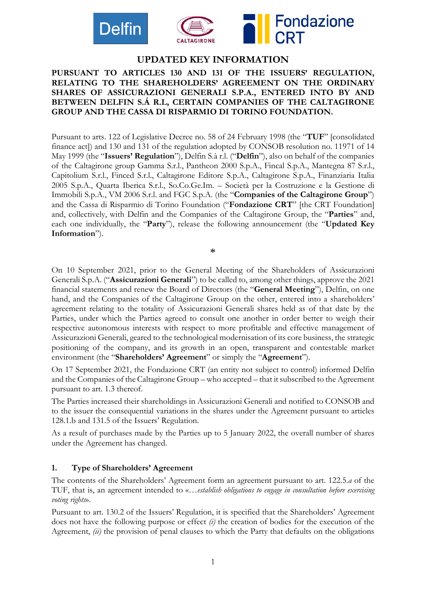



# **UPDATED KEY INFORMATION**

#### **PURSUANT TO ARTICLES 130 AND 131 OF THE ISSUERS' REGULATION, RELATING TO THE SHAREHOLDERS' AGREEMENT ON THE ORDINARY SHARES OF ASSICURAZIONI GENERALI S.P.A., ENTERED INTO BY AND BETWEEN DELFIN S.Á R.L, CERTAIN COMPANIES OF THE CALTAGIRONE GROUP AND THE CASSA DI RISPARMIO DI TORINO FOUNDATION.**

Pursuant to arts. 122 of Legislative Decree no. 58 of 24 February 1998 (the "**TUF**" [consolidated finance act]) and 130 and 131 of the regulation adopted by CONSOB resolution no. 11971 of 14 May 1999 (the "**Issuers' Regulation**"), Delfin S.à r.l. ("**Delfin**"), also on behalf of the companies of the Caltagirone group Gamma S.r.l., Pantheon 2000 S.p.A., Fincal S.p.A., Mantegna 87 S.r.l., Capitolium S.r.l., Finced S.r.l., Caltagirone Editore S.p.A., Caltagirone S.p.A., Finanziaria Italia 2005 S.p.A., Quarta Iberica S.r.l., So.Co.Ge.Im. – Società per la Costruzione e la Gestione di Immobili S.p.A., VM 2006 S.r.l. and FGC S.p.A. (the "**Companies of the Caltagirone Group**") and the Cassa di Risparmio di Torino Foundation ("**Fondazione CRT**" [the CRT Foundation] and, collectively, with Delfin and the Companies of the Caltagirone Group, the "**Parties**" and, each one individually, the "**Party**"), release the following announcement (the "**Updated Key Information**").

\*

On 10 September 2021, prior to the General Meeting of the Shareholders of Assicurazioni Generali S.p.A. ("**Assicurazioni Generali**") to be called to, among other things, approve the 2021 financial statements and renew the Board of Directors (the "**General Meeting**"), Delfin, on one hand, and the Companies of the Caltagirone Group on the other, entered into a shareholders' agreement relating to the totality of Assicurazioni Generali shares held as of that date by the Parties, under which the Parties agreed to consult one another in order better to weigh their respective autonomous interests with respect to more profitable and effective management of Assicurazioni Generali, geared to the technological modernisation of its core business, the strategic positioning of the company, and its growth in an open, transparent and contestable market environment (the "**Shareholders' Agreement**" or simply the "**Agreement**").

On 17 September 2021, the Fondazione CRT (an entity not subject to control) informed Delfin and the Companies of the Caltagirone Group – who accepted – that it subscribed to the Agreement pursuant to art. 1.3 thereof.

The Parties increased their shareholdings in Assicurazioni Generali and notified to CONSOB and to the issuer the consequential variations in the shares under the Agreement pursuant to articles 128.1.b and 131.5 of the Issuers' Regulation.

As a result of purchases made by the Parties up to 5 January 2022, the overall number of shares under the Agreement has changed.

#### **1. Type of Shareholders' Agreement**

The contents of the Shareholders' Agreement form an agreement pursuant to art. 122.5.*a* of the TUF, that is, an agreement intended to «…*establish obligations to engage in consultation before exercising voting rights*».

Pursuant to art. 130.2 of the Issuers' Regulation, it is specified that the Shareholders' Agreement does not have the following purpose or effect *(i)* the creation of bodies for the execution of the Agreement, *(ii)* the provision of penal clauses to which the Party that defaults on the obligations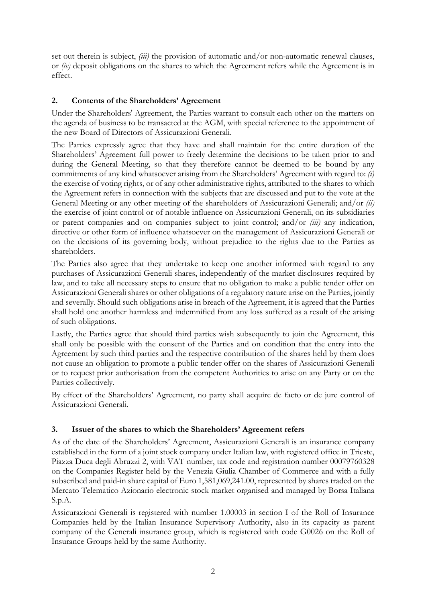set out therein is subject, *(iii)* the provision of automatic and/or non-automatic renewal clauses, or *(iv)* deposit obligations on the shares to which the Agreement refers while the Agreement is in effect.

# **2. Contents of the Shareholders' Agreement**

Under the Shareholders' Agreement, the Parties warrant to consult each other on the matters on the agenda of business to be transacted at the AGM, with special reference to the appointment of the new Board of Directors of Assicurazioni Generali.

The Parties expressly agree that they have and shall maintain for the entire duration of the Shareholders' Agreement full power to freely determine the decisions to be taken prior to and during the General Meeting, so that they therefore cannot be deemed to be bound by any commitments of any kind whatsoever arising from the Shareholders' Agreement with regard to: *(i)* the exercise of voting rights, or of any other administrative rights, attributed to the shares to which the Agreement refers in connection with the subjects that are discussed and put to the vote at the General Meeting or any other meeting of the shareholders of Assicurazioni Generali; and/or *(ii)* the exercise of joint control or of notable influence on Assicurazioni Generali, on its subsidiaries or parent companies and on companies subject to joint control; and/or *(iii)* any indication, directive or other form of influence whatsoever on the management of Assicurazioni Generali or on the decisions of its governing body, without prejudice to the rights due to the Parties as shareholders.

The Parties also agree that they undertake to keep one another informed with regard to any purchases of Assicurazioni Generali shares, independently of the market disclosures required by law, and to take all necessary steps to ensure that no obligation to make a public tender offer on Assicurazioni Generali shares or other obligations of a regulatory nature arise on the Parties, jointly and severally. Should such obligations arise in breach of the Agreement, it is agreed that the Parties shall hold one another harmless and indemnified from any loss suffered as a result of the arising of such obligations.

Lastly, the Parties agree that should third parties wish subsequently to join the Agreement, this shall only be possible with the consent of the Parties and on condition that the entry into the Agreement by such third parties and the respective contribution of the shares held by them does not cause an obligation to promote a public tender offer on the shares of Assicurazioni Generali or to request prior authorisation from the competent Authorities to arise on any Party or on the Parties collectively.

By effect of the Shareholders' Agreement, no party shall acquire de facto or de jure control of Assicurazioni Generali.

## **3. Issuer of the shares to which the Shareholders' Agreement refers**

As of the date of the Shareholders' Agreement, Assicurazioni Generali is an insurance company established in the form of a joint stock company under Italian law, with registered office in Trieste, Piazza Duca degli Abruzzi 2, with VAT number, tax code and registration number 00079760328 on the Companies Register held by the Venezia Giulia Chamber of Commerce and with a fully subscribed and paid-in share capital of Euro 1,581,069,241.00, represented by shares traded on the Mercato Telematico Azionario electronic stock market organised and managed by Borsa Italiana S.p.A.

Assicurazioni Generali is registered with number 1.00003 in section I of the Roll of Insurance Companies held by the Italian Insurance Supervisory Authority, also in its capacity as parent company of the Generali insurance group, which is registered with code G0026 on the Roll of Insurance Groups held by the same Authority.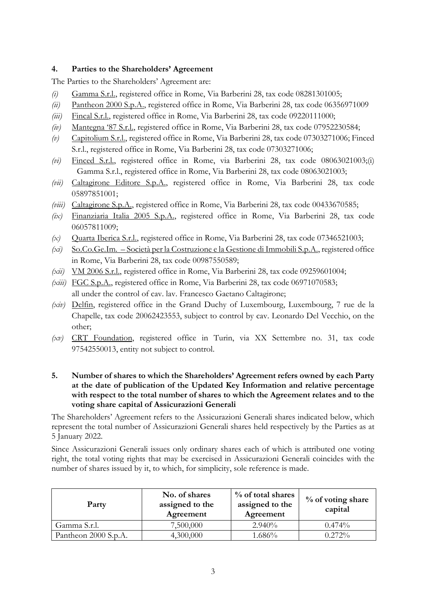## **4. Parties to the Shareholders' Agreement**

The Parties to the Shareholders' Agreement are:

- *(i)* Gamma S.r.l., registered office in Rome, Via Barberini 28, tax code 08281301005;
- *(ii)* Pantheon 2000 S.p.A., registered office in Rome, Via Barberini 28, tax code 06356971009
- *(iii)* Fincal S.r.l., registered office in Rome, Via Barberini 28, tax code 09220111000;
- *(iv)* Mantegna '87 S.r.l., registered office in Rome, Via Barberini 28, tax code 07952230584;
- *(v)* Capitolium S.r.l., registered office in Rome, Via Barberini 28, tax code 07303271006; Finced S.r.l., registered office in Rome, Via Barberini 28, tax code 07303271006;
- *(vi)* Finced S.r.l., registered office in Rome, via Barberini 28, tax code 08063021003;(i) Gamma S.r.l., registered office in Rome, Via Barberini 28, tax code 08063021003;
- *(vii)* Caltagirone Editore S.p.A., registered office in Rome, Via Barberini 28, tax code 05897851001;
- *(viii)* Caltagirone S.p.A., registered office in Rome, Via Barberini 28, tax code 00433670585;
- *(ix)* Finanziaria Italia 2005 S.p.A., registered office in Rome, Via Barberini 28, tax code 06057811009;
- *(x)* Quarta Iberica S.r.l., registered office in Rome, Via Barberini 28, tax code 07346521003;
- *(xi)* So.Co.Ge.Im. Società per la Costruzione e la Gestione di Immobili S.p.A., registered office in Rome, Via Barberini 28, tax code 00987550589;
- *(xii)* VM 2006 S.r.l., registered office in Rome, Via Barberini 28, tax code 09259601004;
- *(xiii)* FGC S.p.A., registered office in Rome, Via Barberini 28, tax code 06971070583; all under the control of cav. lav. Francesco Gaetano Caltagirone;
- *(xiv)* Delfin, registered office in the Grand Duchy of Luxembourg, Luxembourg, 7 rue de la Chapelle, tax code 20062423553, subject to control by cav. Leonardo Del Vecchio, on the other;
- *(xv)* CRT Foundation, registered office in Turin, via XX Settembre no. 31, tax code 97542550013, entity not subject to control.

#### **5. Number of shares to which the Shareholders' Agreement refers owned by each Party at the date of publication of the Updated Key Information and relative percentage with respect to the total number of shares to which the Agreement relates and to the voting share capital of Assicurazioni Generali**

The Shareholders' Agreement refers to the Assicurazioni Generali shares indicated below, which represent the total number of Assicurazioni Generali shares held respectively by the Parties as at 5 January 2022.

Since Assicurazioni Generali issues only ordinary shares each of which is attributed one voting right, the total voting rights that may be exercised in Assicurazioni Generali coincides with the number of shares issued by it, to which, for simplicity, sole reference is made.

| Party                | No. of shares<br>assigned to the<br>Agreement | % of total shares<br>assigned to the<br>Agreement | $\%$ of voting share<br>capital |
|----------------------|-----------------------------------------------|---------------------------------------------------|---------------------------------|
| Gamma S.r.l.         | 7,500,000                                     | $2.940\%$                                         | $0.474\%$                       |
| Pantheon 2000 S.p.A. | 4,300,000                                     | $1.686\%$                                         | 0.272%                          |